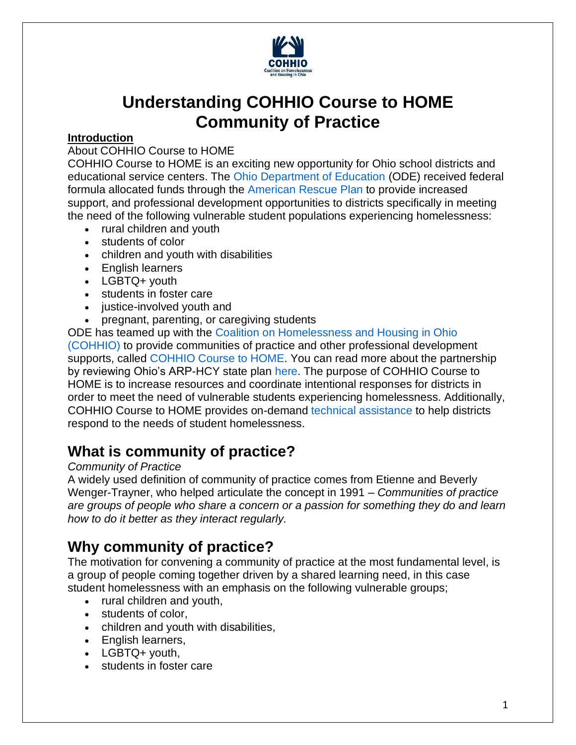

# **Understanding COHHIO Course to HOME Community of Practice**

#### **Introduction**

#### About COHHIO Course to HOME

COHHIO Course to HOME is an exciting new opportunity for Ohio school districts and educational service centers. The [Ohio Department of Education](https://education.ohio.gov/Topics/Student-Supports/Homeless-Youth) (ODE) received federal formula allocated funds through the [American Rescue](https://education.ohio.gov/Topics/Student-Supports/Homeless-Youth/American-Rescue-Plan-Homeless-II-Funds) Plan to provide increased support, and professional development opportunities to districts specifically in meeting the need of the following vulnerable student populations experiencing homelessness:

- rural children and youth
- students of color
- children and youth with disabilities
- English learners
- LGBTQ+ youth
- students in foster care
- iustice-involved youth and
- pregnant, parenting, or caregiving students

ODE has teamed up with the [Coalition on Homelessness and Housing in Ohio](https://cohhio.org/)  [\(COHHIO\)](https://cohhio.org/) to provide communities of practice and other professional development supports, called [COHHIO Course to HOME.](https://cohhio.org/programs/youth-initiative/ode-youth-homelessness/) You can read more about the partnership by reviewing Ohio's ARP-HCY state plan [here.](https://oese.ed.gov/files/2021/09/Ohio-ARP-HCY-State-Plan.pdf) The purpose of COHHIO Course to HOME is to increase resources and coordinate intentional responses for districts in order to meet the need of vulnerable students experiencing homelessness. Additionally, COHHIO Course to HOME provides on-demand [technical assistance](https://www.cdc.gov/healthyschools/professional_development/videos/pd101/05-technical_assistance.pdf) to help districts respond to the needs of student homelessness.

### **What is community of practice?**

#### *Community of Practice*

A widely used definition of community of practice comes from Etienne and Beverly Wenger-Trayner, who helped articulate the concept in 1991 – *Communities of practice are groups of people who share a concern or a passion for something they do and learn how to do it better as they interact regularly.*

### **Why community of practice?**

The motivation for convening a community of practice at the most fundamental level, is a group of people coming together driven by a shared learning need, in this case student homelessness with an emphasis on the following vulnerable groups;

- rural children and youth,
- students of color,
- children and youth with disabilities,
- English learners,
- LGBTQ+ youth,
- students in foster care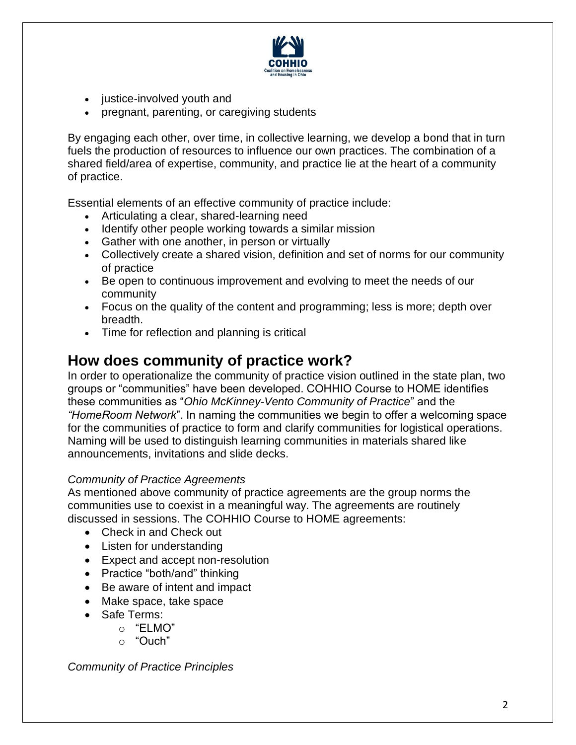

- justice-involved youth and
- pregnant, parenting, or caregiving students

By engaging each other, over time, in collective learning, we develop a bond that in turn fuels the production of resources to influence our own practices. The combination of a shared field/area of expertise, community, and practice lie at the heart of a community of practice.

Essential elements of an effective community of practice include:

- Articulating a clear, shared-learning need
- Identify other people working towards a similar mission
- Gather with one another, in person or virtually
- Collectively create a shared vision, definition and set of norms for our community of practice
- Be open to continuous improvement and evolving to meet the needs of our community
- Focus on the quality of the content and programming; less is more; depth over breadth.
- Time for reflection and planning is critical

### **How does community of practice work?**

In order to operationalize the community of practice vision outlined in the state plan, two groups or "communities" have been developed. COHHIO Course to HOME identifies these communities as "*Ohio McKinney-Vento Community of Practice*" and the *"HomeRoom Network*". In naming the communities we begin to offer a welcoming space for the communities of practice to form and clarify communities for logistical operations. Naming will be used to distinguish learning communities in materials shared like announcements, invitations and slide decks.

#### *Community of Practice Agreements*

As mentioned above community of practice agreements are the group norms the communities use to coexist in a meaningful way. The agreements are routinely discussed in sessions. The COHHIO Course to HOME agreements:

- Check in and Check out
- Listen for understanding
- Expect and accept non-resolution
- Practice "both/and" thinking
- Be aware of intent and impact
- Make space, take space
- Safe Terms:
	- o "ELMO"
	- o "Ouch"

*Community of Practice Principles*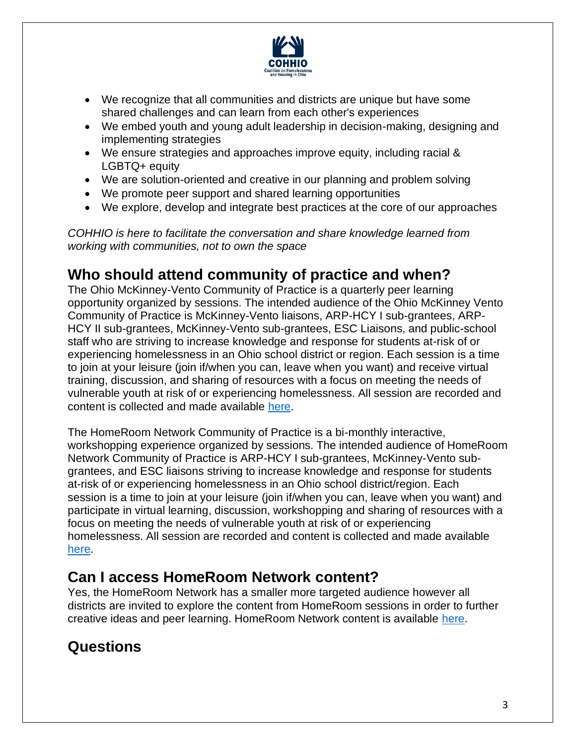

- We recognize that all communities and districts are unique but have some shared challenges and can learn from each other's experiences
- We embed youth and young adult leadership in decision-making, designing and implementing strategies
- We ensure strategies and approaches improve equity, including racial & LGBTQ+ equity
- We are solution-oriented and creative in our planning and problem solving
- We promote peer support and shared learning opportunities
- We explore, develop and integrate best practices at the core of our approaches

*COHHIO is here to facilitate the conversation and share knowledge learned from working with communities, not to own the space*

### **Who should attend community of practice and when?**

The Ohio McKinney-Vento Community of Practice is a quarterly peer learning opportunity organized by sessions. The intended audience of the Ohio McKinney Vento Community of Practice is McKinney-Vento liaisons, ARP-HCY I sub-grantees, ARP-HCY II sub-grantees, McKinney-Vento sub-grantees, ESC Liaisons, and public-school staff who are striving to increase knowledge and response for students at-risk of or experiencing homelessness in an Ohio school district or region. Each session is a time to join at your leisure (join if/when you can, leave when you want) and receive virtual training, discussion, and sharing of resources with a focus on meeting the needs of vulnerable youth at risk of or experiencing homelessness. All session are recorded and content is collected and made available [here.](https://cohhio.org/programs/youth-initiative/ode-youth-homelessness/)

The HomeRoom Network Community of Practice is a bi-monthly interactive, workshopping experience organized by sessions. The intended audience of HomeRoom Network Community of Practice is ARP-HCY I sub-grantees, McKinney-Vento subgrantees, and ESC liaisons striving to increase knowledge and response for students at-risk of or experiencing homelessness in an Ohio school district/region. Each session is a time to join at your leisure (join if/when you can, leave when you want) and participate in virtual learning, discussion, workshopping and sharing of resources with a focus on meeting the needs of vulnerable youth at risk of or experiencing homelessness. All session are recorded and content is collected and made available [here.](https://cohhio.org/programs/youth-initiative/ode-youth-homelessness/)

# **Can I access HomeRoom Network content?**

Yes, the HomeRoom Network has a smaller more targeted audience however all districts are invited to explore the content from HomeRoom sessions in order to further creative ideas and peer learning. HomeRoom Network content is available [here.](https://cohhio.org/programs/youth-initiative/ode-youth-homelessness/)

# **Questions**